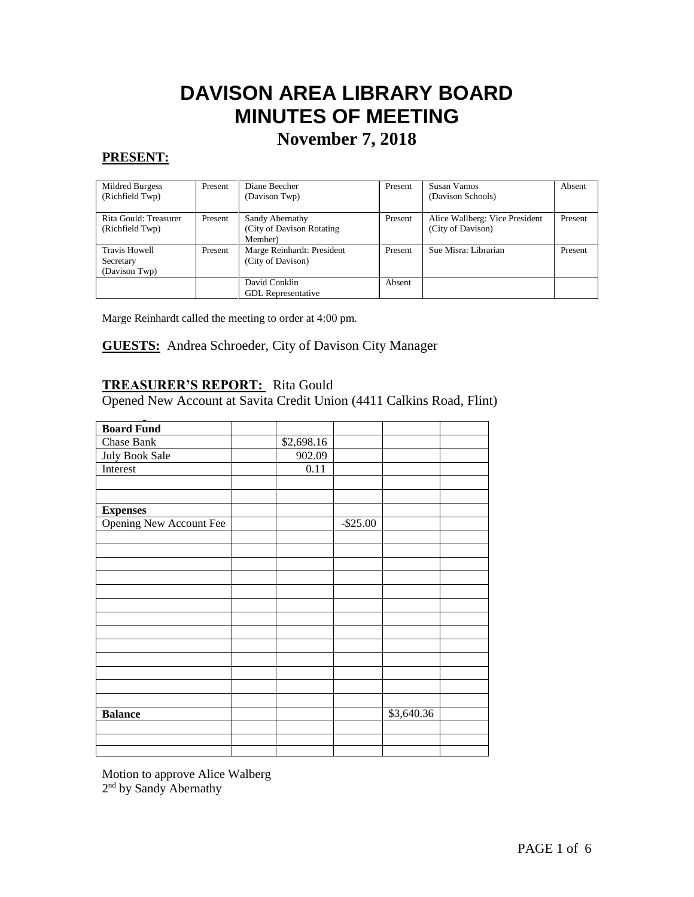# **DAVISON AREA LIBRARY BOARD MINUTES OF MEETING**

## **November 7, 2018**

## **PRESENT:**

| Mildred Burgess       | Present | Diane Beecher              | Present | Susan Vamos                    | Absent  |
|-----------------------|---------|----------------------------|---------|--------------------------------|---------|
| (Richfield Twp)       |         | (Davison Twp)              |         | (Davison Schools)              |         |
|                       |         |                            |         |                                |         |
| Rita Gould: Treasurer | Present | Sandy Abernathy            | Present | Alice Wallberg: Vice President | Present |
| (Richfield Twp)       |         | (City of Davison Rotating) |         | (City of Davison)              |         |
|                       |         | Member)                    |         |                                |         |
| <b>Travis Howell</b>  | Present | Marge Reinhardt: President | Present | Sue Misra: Librarian           | Present |
| Secretary             |         | (City of Davison)          |         |                                |         |
| (Davison Twp)         |         |                            |         |                                |         |
|                       |         | David Conklin              | Absent  |                                |         |
|                       |         | <b>GDL</b> Representative  |         |                                |         |

Marge Reinhardt called the meeting to order at 4:00 pm.

#### **GUESTS:** Andrea Schroeder, City of Davison City Manager  $\overline{\phantom{a}}$

## **TREASURER'S REPORT:** Rita Gould

Opened New Account at Savita Credit Union (4411 Calkins Road, Flint)

| <b>Board Fund</b>              |            |           |            |  |
|--------------------------------|------------|-----------|------------|--|
| Chase Bank                     | \$2,698.16 |           |            |  |
| July Book Sale                 | 902.09     |           |            |  |
| Interest                       | 0.11       |           |            |  |
|                                |            |           |            |  |
|                                |            |           |            |  |
| <b>Expenses</b>                |            |           |            |  |
| <b>Opening New Account Fee</b> |            | $-$25.00$ |            |  |
|                                |            |           |            |  |
|                                |            |           |            |  |
|                                |            |           |            |  |
|                                |            |           |            |  |
|                                |            |           |            |  |
|                                |            |           |            |  |
|                                |            |           |            |  |
|                                |            |           |            |  |
|                                |            |           |            |  |
|                                |            |           |            |  |
|                                |            |           |            |  |
|                                |            |           |            |  |
|                                |            |           |            |  |
| <b>Balance</b>                 |            |           | \$3,640.36 |  |
|                                |            |           |            |  |
|                                |            |           |            |  |
|                                |            |           |            |  |

Motion to approve Alice Walberg 2<sup>nd</sup> by Sandy Abernathy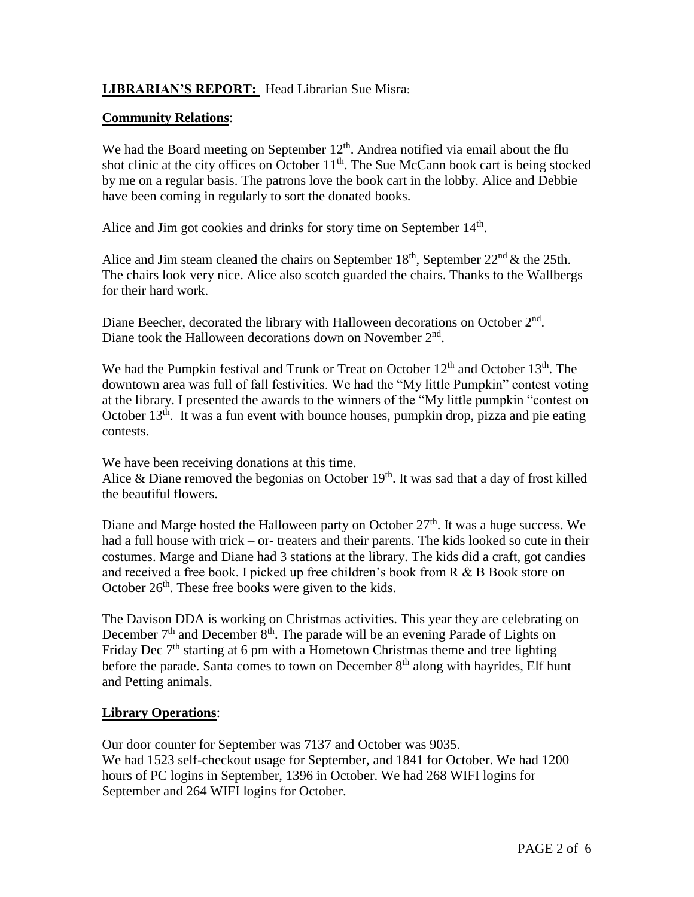## **LIBRARIAN'S REPORT:** Head Librarian Sue Misra:

## **Community Relations**:

We had the Board meeting on September  $12<sup>th</sup>$ . Andrea notified via email about the flu shot clinic at the city offices on October  $11<sup>th</sup>$ . The Sue McCann book cart is being stocked by me on a regular basis. The patrons love the book cart in the lobby. Alice and Debbie have been coming in regularly to sort the donated books.

Alice and Jim got cookies and drinks for story time on September 14<sup>th</sup>.

Alice and Jim steam cleaned the chairs on September  $18<sup>th</sup>$ , September  $22<sup>nd</sup>$  & the 25th. The chairs look very nice. Alice also scotch guarded the chairs. Thanks to the Wallbergs for their hard work.

Diane Beecher, decorated the library with Halloween decorations on October 2<sup>nd</sup>. Diane took the Halloween decorations down on November 2<sup>nd</sup>.

We had the Pumpkin festival and Trunk or Treat on October 12<sup>th</sup> and October 13<sup>th</sup>. The downtown area was full of fall festivities. We had the "My little Pumpkin" contest voting at the library. I presented the awards to the winners of the "My little pumpkin "contest on October  $13<sup>th</sup>$ . It was a fun event with bounce houses, pumpkin drop, pizza and pie eating contests.

We have been receiving donations at this time.

Alice & Diane removed the begonias on October  $19<sup>th</sup>$ . It was sad that a day of frost killed the beautiful flowers.

Diane and Marge hosted the Halloween party on October  $27<sup>th</sup>$ . It was a huge success. We had a full house with trick – or- treaters and their parents. The kids looked so cute in their costumes. Marge and Diane had 3 stations at the library. The kids did a craft, got candies and received a free book. I picked up free children's book from R & B Book store on October  $26<sup>th</sup>$ . These free books were given to the kids.

The Davison DDA is working on Christmas activities. This year they are celebrating on December  $7<sup>th</sup>$  and December  $8<sup>th</sup>$ . The parade will be an evening Parade of Lights on Friday Dec  $7<sup>th</sup>$  starting at 6 pm with a Hometown Christmas theme and tree lighting before the parade. Santa comes to town on December  $8<sup>th</sup>$  along with hayrides, Elf hunt and Petting animals.

## **Library Operations**:

Our door counter for September was 7137 and October was 9035. We had 1523 self-checkout usage for September, and 1841 for October. We had 1200 hours of PC logins in September, 1396 in October. We had 268 WIFI logins for September and 264 WIFI logins for October.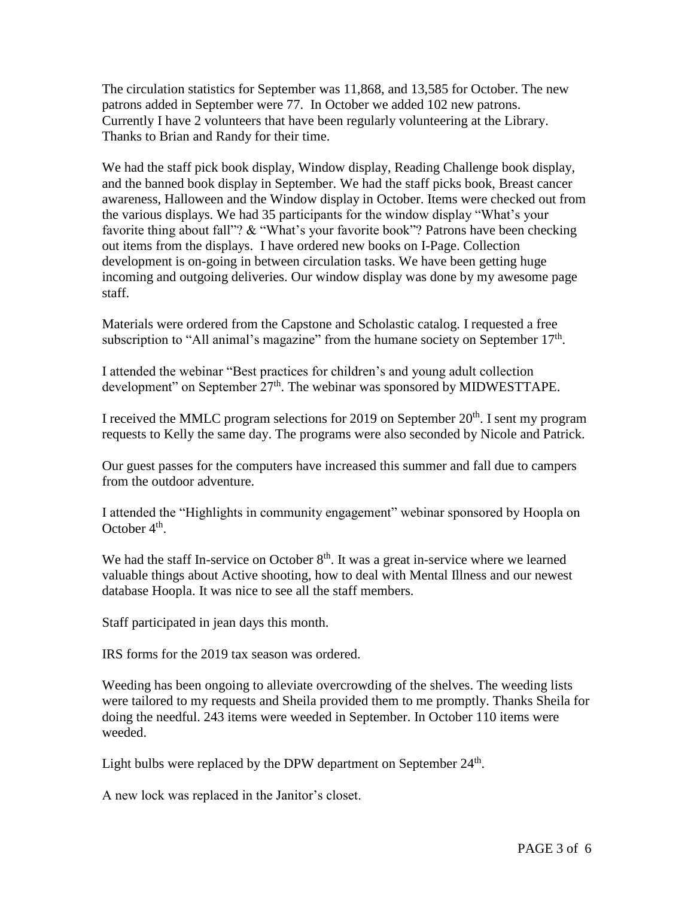The circulation statistics for September was 11,868, and 13,585 for October. The new patrons added in September were 77. In October we added 102 new patrons. Currently I have 2 volunteers that have been regularly volunteering at the Library. Thanks to Brian and Randy for their time.

We had the staff pick book display, Window display, Reading Challenge book display, and the banned book display in September. We had the staff picks book, Breast cancer awareness, Halloween and the Window display in October. Items were checked out from the various displays. We had 35 participants for the window display "What's your favorite thing about fall"? & "What's your favorite book"? Patrons have been checking out items from the displays. I have ordered new books on I-Page. Collection development is on-going in between circulation tasks. We have been getting huge incoming and outgoing deliveries. Our window display was done by my awesome page staff.

Materials were ordered from the Capstone and Scholastic catalog. I requested a free subscription to "All animal's magazine" from the humane society on September  $17<sup>th</sup>$ .

I attended the webinar "Best practices for children's and young adult collection development" on September 27<sup>th</sup>. The webinar was sponsored by MIDWESTTAPE.

I received the MMLC program selections for 2019 on September  $20<sup>th</sup>$ . I sent my program requests to Kelly the same day. The programs were also seconded by Nicole and Patrick.

Our guest passes for the computers have increased this summer and fall due to campers from the outdoor adventure.

I attended the "Highlights in community engagement" webinar sponsored by Hoopla on October  $4<sup>th</sup>$ .

We had the staff In-service on October  $8<sup>th</sup>$ . It was a great in-service where we learned valuable things about Active shooting, how to deal with Mental Illness and our newest database Hoopla. It was nice to see all the staff members.

Staff participated in jean days this month.

IRS forms for the 2019 tax season was ordered.

Weeding has been ongoing to alleviate overcrowding of the shelves. The weeding lists were tailored to my requests and Sheila provided them to me promptly. Thanks Sheila for doing the needful. 243 items were weeded in September. In October 110 items were weeded.

Light bulbs were replaced by the DPW department on September  $24<sup>th</sup>$ .

A new lock was replaced in the Janitor's closet.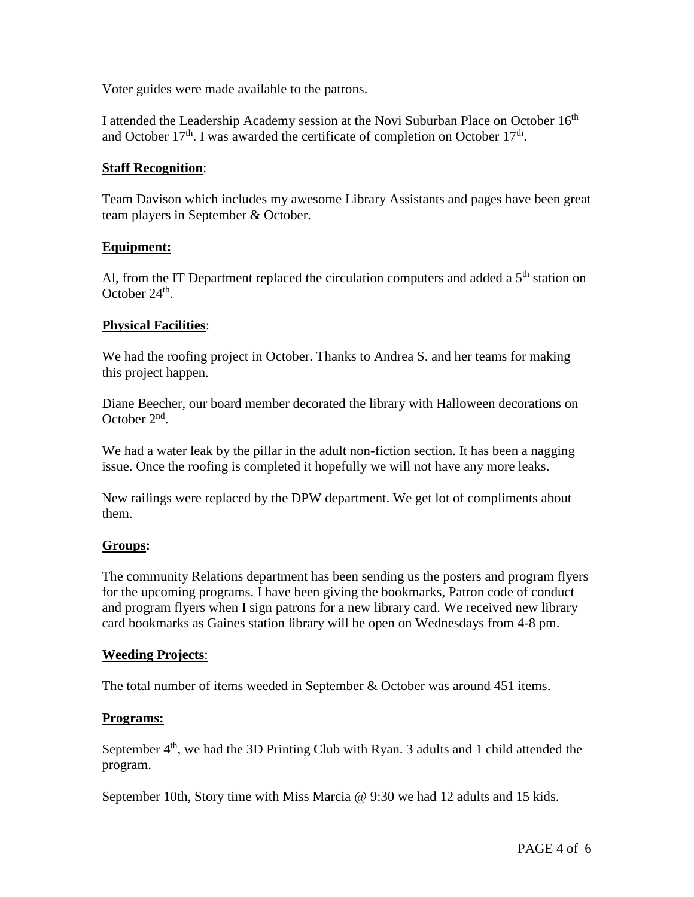Voter guides were made available to the patrons.

I attended the Leadership Academy session at the Novi Suburban Place on October 16<sup>th</sup> and October  $17<sup>th</sup>$ . I was awarded the certificate of completion on October  $17<sup>th</sup>$ .

#### **Staff Recognition**:

Team Davison which includes my awesome Library Assistants and pages have been great team players in September & October.

#### **Equipment:**

Al, from the IT Department replaced the circulation computers and added a  $5<sup>th</sup>$  station on October  $24<sup>th</sup>$ .

#### **Physical Facilities**:

We had the roofing project in October. Thanks to Andrea S, and her teams for making this project happen.

Diane Beecher, our board member decorated the library with Halloween decorations on October 2<sup>nd</sup>.

We had a water leak by the pillar in the adult non-fiction section. It has been a nagging issue. Once the roofing is completed it hopefully we will not have any more leaks.

New railings were replaced by the DPW department. We get lot of compliments about them.

#### **Groups:**

The community Relations department has been sending us the posters and program flyers for the upcoming programs. I have been giving the bookmarks, Patron code of conduct and program flyers when I sign patrons for a new library card. We received new library card bookmarks as Gaines station library will be open on Wednesdays from 4-8 pm.

#### **Weeding Projects**:

The total number of items weeded in September & October was around 451 items.

#### **Programs:**

September  $4<sup>th</sup>$ , we had the 3D Printing Club with Ryan. 3 adults and 1 child attended the program.

September 10th, Story time with Miss Marcia @ 9:30 we had 12 adults and 15 kids.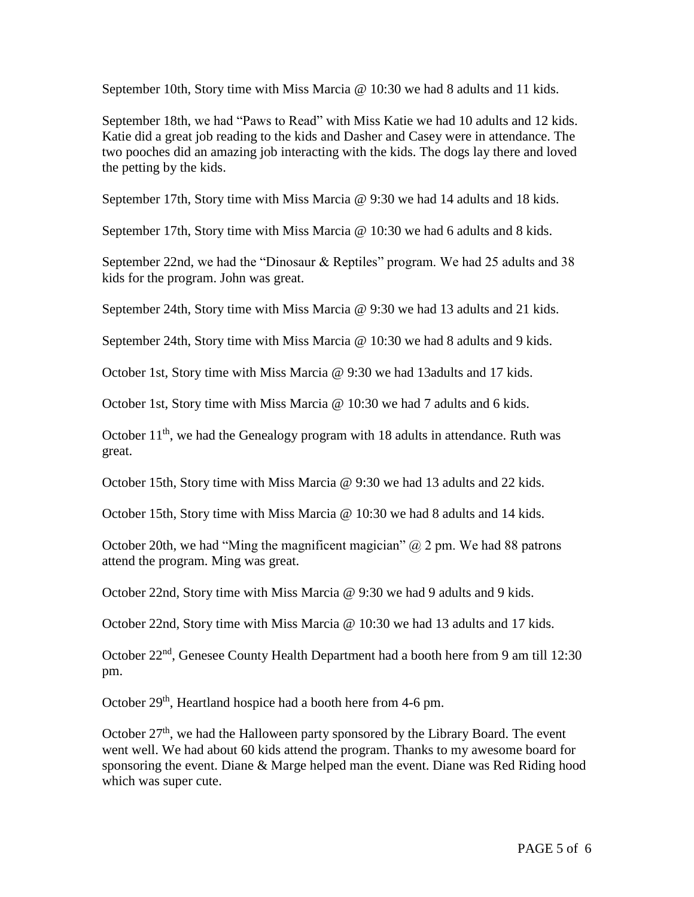September 10th, Story time with Miss Marcia @ 10:30 we had 8 adults and 11 kids.

September 18th, we had "Paws to Read" with Miss Katie we had 10 adults and 12 kids. Katie did a great job reading to the kids and Dasher and Casey were in attendance. The two pooches did an amazing job interacting with the kids. The dogs lay there and loved the petting by the kids.

September 17th, Story time with Miss Marcia @ 9:30 we had 14 adults and 18 kids.

September 17th, Story time with Miss Marcia @ 10:30 we had 6 adults and 8 kids.

September 22nd, we had the "Dinosaur & Reptiles" program. We had 25 adults and 38 kids for the program. John was great.

September 24th, Story time with Miss Marcia @ 9:30 we had 13 adults and 21 kids.

September 24th, Story time with Miss Marcia @ 10:30 we had 8 adults and 9 kids.

October 1st, Story time with Miss Marcia @ 9:30 we had 13adults and 17 kids.

October 1st, Story time with Miss Marcia @ 10:30 we had 7 adults and 6 kids.

October  $11<sup>th</sup>$ , we had the Genealogy program with 18 adults in attendance. Ruth was great.

October 15th, Story time with Miss Marcia @ 9:30 we had 13 adults and 22 kids.

October 15th, Story time with Miss Marcia @ 10:30 we had 8 adults and 14 kids.

October 20th, we had "Ming the magnificent magician"  $\omega$  2 pm. We had 88 patrons attend the program. Ming was great.

October 22nd, Story time with Miss Marcia @ 9:30 we had 9 adults and 9 kids.

October 22nd, Story time with Miss Marcia @ 10:30 we had 13 adults and 17 kids.

October 22nd, Genesee County Health Department had a booth here from 9 am till 12:30 pm.

October  $29<sup>th</sup>$ , Heartland hospice had a booth here from 4-6 pm.

October  $27<sup>th</sup>$ , we had the Halloween party sponsored by the Library Board. The event went well. We had about 60 kids attend the program. Thanks to my awesome board for sponsoring the event. Diane & Marge helped man the event. Diane was Red Riding hood which was super cute.